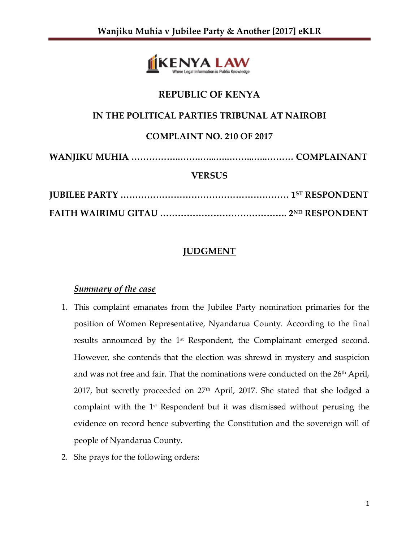

# **REPUBLIC OF KENYA**

## **IN THE POLITICAL PARTIES TRIBUNAL AT NAIROBI**

# **COMPLAINT NO. 210 OF 2017**

**WANJIKU MUHIA ……………..…….…...…..……...…..……… COMPLAINANT**

#### **VERSUS**

# **JUDGMENT**

### *Summary of the case*

- 1. This complaint emanates from the Jubilee Party nomination primaries for the position of Women Representative, Nyandarua County. According to the final results announced by the 1<sup>st</sup> Respondent, the Complainant emerged second. However, she contends that the election was shrewd in mystery and suspicion and was not free and fair. That the nominations were conducted on the 26<sup>th</sup> April, 2017, but secretly proceeded on 27<sup>th</sup> April, 2017. She stated that she lodged a complaint with the  $1<sup>st</sup>$  Respondent but it was dismissed without perusing the evidence on record hence subverting the Constitution and the sovereign will of people of Nyandarua County.
- 2. She prays for the following orders: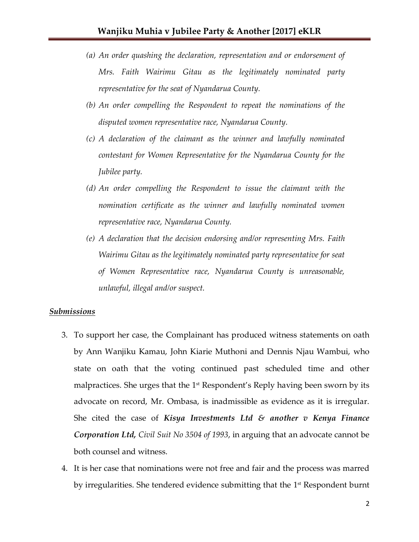- *(a) An order quashing the declaration, representation and or endorsement of Mrs. Faith Wairimu Gitau as the legitimately nominated party representative for the seat of Nyandarua County.*
- *(b) An order compelling the Respondent to repeat the nominations of the disputed women representative race, Nyandarua County.*
- *(c) A declaration of the claimant as the winner and lawfully nominated contestant for Women Representative for the Nyandarua County for the Jubilee party.*
- *(d) An order compelling the Respondent to issue the claimant with the nomination certificate as the winner and lawfully nominated women representative race, Nyandarua County.*
- *(e) A declaration that the decision endorsing and/or representing Mrs. Faith Wairimu Gitau as the legitimately nominated party representative for seat of Women Representative race, Nyandarua County is unreasonable, unlawful, illegal and/or suspect.*

#### *Submissions*

- 3. To support her case, the Complainant has produced witness statements on oath by Ann Wanjiku Kamau, John Kiarie Muthoni and Dennis Njau Wambui, who state on oath that the voting continued past scheduled time and other malpractices. She urges that the  $1<sup>st</sup>$  Respondent's Reply having been sworn by its advocate on record, Mr. Ombasa, is inadmissible as evidence as it is irregular. She cited the case of *Kisya Investments Ltd & another v Kenya Finance Corporation Ltd, Civil Suit No 3504 of 1993*, in arguing that an advocate cannot be both counsel and witness.
- 4. It is her case that nominations were not free and fair and the process was marred by irregularities. She tendered evidence submitting that the 1st Respondent burnt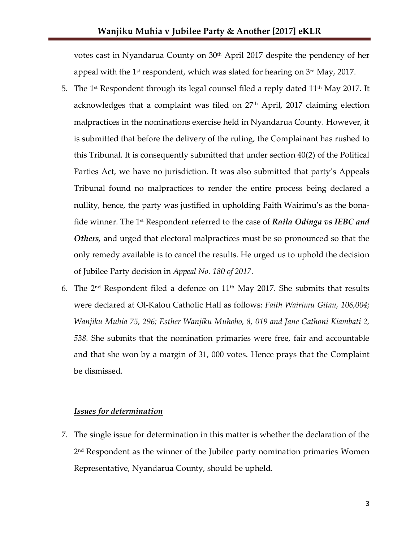votes cast in Nyandarua County on 30<sup>th</sup> April 2017 despite the pendency of her appeal with the 1st respondent, which was slated for hearing on 3rd May, 2017.

- 5. The 1<sup>st</sup> Respondent through its legal counsel filed a reply dated  $11<sup>th</sup>$  May 2017. It acknowledges that a complaint was filed on  $27<sup>th</sup>$  April, 2017 claiming election malpractices in the nominations exercise held in Nyandarua County. However, it is submitted that before the delivery of the ruling, the Complainant has rushed to this Tribunal. It is consequently submitted that under section 40(2) of the Political Parties Act, we have no jurisdiction. It was also submitted that party's Appeals Tribunal found no malpractices to render the entire process being declared a nullity, hence, the party was justified in upholding Faith Wairimu's as the bonafide winner. The 1st Respondent referred to the case of *Raila Odinga vs IEBC and Others,* and urged that electoral malpractices must be so pronounced so that the only remedy available is to cancel the results. He urged us to uphold the decision of Jubilee Party decision in *Appeal No. 180 of 2017*.
- 6. The  $2<sup>nd</sup>$  Respondent filed a defence on  $11<sup>th</sup>$  May 2017. She submits that results were declared at Ol-Kalou Catholic Hall as follows: *Faith Wairimu Gitau, 106,004; Wanjiku Muhia 75, 296; Esther Wanjiku Muhoho, 8, 019 and Jane Gathoni Kiambati 2, 538.* She submits that the nomination primaries were free, fair and accountable and that she won by a margin of 31, 000 votes. Hence prays that the Complaint be dismissed.

#### *Issues for determination*

7. The single issue for determination in this matter is whether the declaration of the 2 nd Respondent as the winner of the Jubilee party nomination primaries Women Representative, Nyandarua County, should be upheld.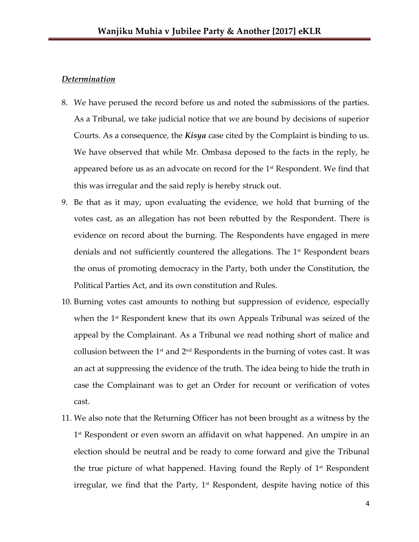#### *Determination*

- 8. We have perused the record before us and noted the submissions of the parties. As a Tribunal, we take judicial notice that we are bound by decisions of superior Courts. As a consequence, the *Kisya* case cited by the Complaint is binding to us. We have observed that while Mr. Ombasa deposed to the facts in the reply, he appeared before us as an advocate on record for the  $1<sup>st</sup>$  Respondent. We find that this was irregular and the said reply is hereby struck out.
- 9. Be that as it may, upon evaluating the evidence, we hold that burning of the votes cast, as an allegation has not been rebutted by the Respondent. There is evidence on record about the burning. The Respondents have engaged in mere denials and not sufficiently countered the allegations. The  $1<sup>st</sup>$  Respondent bears the onus of promoting democracy in the Party, both under the Constitution, the Political Parties Act, and its own constitution and Rules.
- 10. Burning votes cast amounts to nothing but suppression of evidence, especially when the 1<sup>st</sup> Respondent knew that its own Appeals Tribunal was seized of the appeal by the Complainant. As a Tribunal we read nothing short of malice and collusion between the  $1<sup>st</sup>$  and  $2<sup>nd</sup>$  Respondents in the burning of votes cast. It was an act at suppressing the evidence of the truth. The idea being to hide the truth in case the Complainant was to get an Order for recount or verification of votes cast.
- 11. We also note that the Returning Officer has not been brought as a witness by the 1 st Respondent or even sworn an affidavit on what happened. An umpire in an election should be neutral and be ready to come forward and give the Tribunal the true picture of what happened. Having found the Reply of 1<sup>st</sup> Respondent irregular, we find that the Party,  $1<sup>st</sup>$  Respondent, despite having notice of this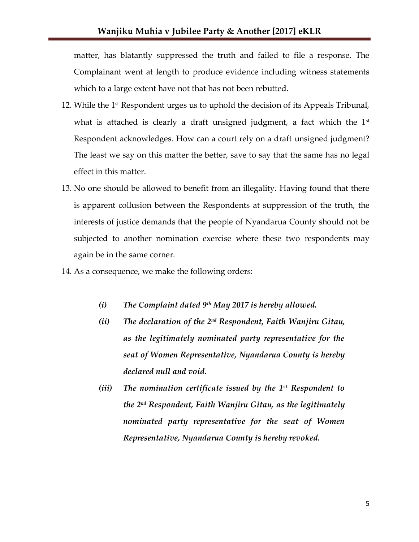matter, has blatantly suppressed the truth and failed to file a response. The Complainant went at length to produce evidence including witness statements which to a large extent have not that has not been rebutted.

- 12. While the 1st Respondent urges us to uphold the decision of its Appeals Tribunal, what is attached is clearly a draft unsigned judgment, a fact which the  $1<sup>st</sup>$ Respondent acknowledges. How can a court rely on a draft unsigned judgment? The least we say on this matter the better, save to say that the same has no legal effect in this matter.
- 13. No one should be allowed to benefit from an illegality. Having found that there is apparent collusion between the Respondents at suppression of the truth, the interests of justice demands that the people of Nyandarua County should not be subjected to another nomination exercise where these two respondents may again be in the same corner.
- 14. As a consequence, we make the following orders:
	- *(i) The Complaint dated 9th May 2017 is hereby allowed.*
	- *(ii) The declaration of the 2nd Respondent, Faith Wanjiru Gitau, as the legitimately nominated party representative for the seat of Women Representative, Nyandarua County is hereby declared null and void.*
	- *(iii) The nomination certificate issued by the 1st Respondent to the 2nd Respondent, Faith Wanjiru Gitau, as the legitimately nominated party representative for the seat of Women Representative, Nyandarua County is hereby revoked.*